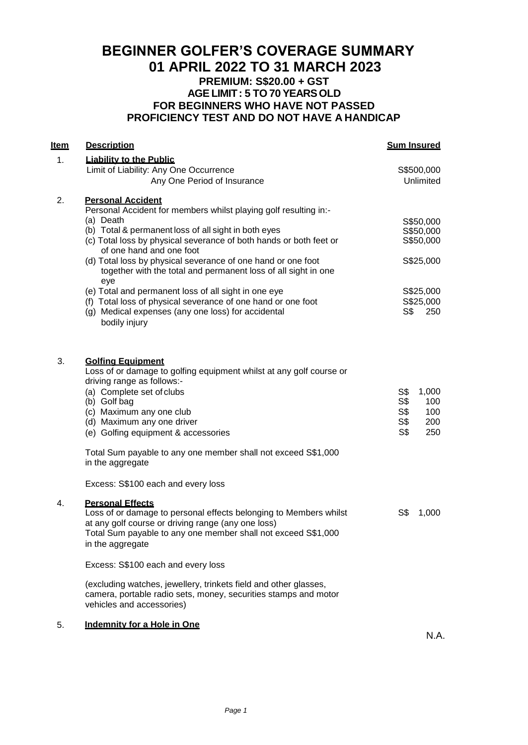## **BEGINNER GOLFER'S COVERAGE SUMMARY 01 APRIL 2022 TO 31 MARCH 2023 PREMIUM: S\$20.00 + GST AGELIMIT: 5 TO 70 YEARSOLD FOR BEGINNERS WHO HAVE NOT PASSED PROFICIENCY TEST AND DO NOT HAVE A HANDICAP**

| Item | <b>Description</b>                                                                                                                                                                                                                                                                                                                                                                                                                                                                                                                                                                                          | <b>Sum Insured</b>                                                                       |
|------|-------------------------------------------------------------------------------------------------------------------------------------------------------------------------------------------------------------------------------------------------------------------------------------------------------------------------------------------------------------------------------------------------------------------------------------------------------------------------------------------------------------------------------------------------------------------------------------------------------------|------------------------------------------------------------------------------------------|
| 1.   | <b>Liability to the Public</b><br>Limit of Liability: Any One Occurrence<br>Any One Period of Insurance                                                                                                                                                                                                                                                                                                                                                                                                                                                                                                     | S\$500,000<br>Unlimited                                                                  |
| 2.   | <b>Personal Accident</b><br>Personal Accident for members whilst playing golf resulting in:-<br>(a) Death<br>(b) Total & permanent loss of all sight in both eyes<br>(c) Total loss by physical severance of both hands or both feet or<br>of one hand and one foot<br>(d) Total loss by physical severance of one hand or one foot<br>together with the total and permanent loss of all sight in one<br>eye<br>(e) Total and permanent loss of all sight in one eye<br>(f) Total loss of physical severance of one hand or one foot<br>(g) Medical expenses (any one loss) for accidental<br>bodily injury | S\$50,000<br>S\$50,000<br>S\$50,000<br>S\$25,000<br>S\$25,000<br>S\$25,000<br>S\$<br>250 |
| 3.   | <b>Golfing Equipment</b><br>Loss of or damage to golfing equipment whilst at any golf course or<br>driving range as follows:-<br>(a) Complete set of clubs<br>(b) Golf bag<br>(c) Maximum any one club<br>(d) Maximum any one driver<br>(e) Golfing equipment & accessories                                                                                                                                                                                                                                                                                                                                 | 1,000<br>S\$<br>S\$<br>100<br>S <sub>3</sub><br>100<br>S\$<br>200<br>S\$<br>250          |
|      | Total Sum payable to any one member shall not exceed S\$1,000<br>in the aggregate<br>Excess: S\$100 each and every loss                                                                                                                                                                                                                                                                                                                                                                                                                                                                                     |                                                                                          |
| 4.   | <b>Personal Effects</b><br>Loss of or damage to personal effects belonging to Members whilst<br>at any golf course or driving range (any one loss)<br>Total Sum payable to any one member shall not exceed S\$1,000<br>in the aggregate                                                                                                                                                                                                                                                                                                                                                                     | S\$<br>1,000                                                                             |
|      | Excess: S\$100 each and every loss                                                                                                                                                                                                                                                                                                                                                                                                                                                                                                                                                                          |                                                                                          |
|      | (excluding watches, jewellery, trinkets field and other glasses,<br>camera, portable radio sets, money, securities stamps and motor<br>vehicles and accessories)                                                                                                                                                                                                                                                                                                                                                                                                                                            |                                                                                          |
| 5.   | Indemnity for a Hole in One                                                                                                                                                                                                                                                                                                                                                                                                                                                                                                                                                                                 |                                                                                          |

N.A.